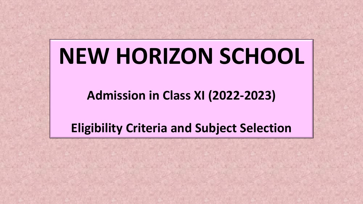# **NEW HORIZON SCHOOL**

**Admission in Class XI (2022-2023)**

**Eligibility Criteria and Subject Selection**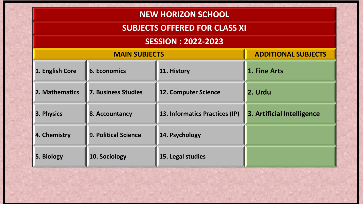## **NEW HORIZON SCHOOL**

## **SUBJECTS OFFERED FOR CLASS XI**

## **SESSION : 2022-2023**

| <b>MAIN SUBJECTS</b> |                             |                                | <b>ADDITIONAL SUBJECTS</b> |
|----------------------|-----------------------------|--------------------------------|----------------------------|
| 1. English Core      | <b>6. Economics</b>         | 11. History                    | 1. Fine Arts               |
| 2. Mathematics       | <b>7. Business Studies</b>  | <b>12. Computer Science</b>    | 2. Urdu                    |
| 3. Physics           | 8. Accountancy              | 13. Informatics Practices (IP) | 3. Artificial Intelligence |
| 4. Chemistry         | <b>9. Political Science</b> | 14. Psychology                 |                            |
| 5. Biology           | 10. Sociology               | 15. Legal studies              |                            |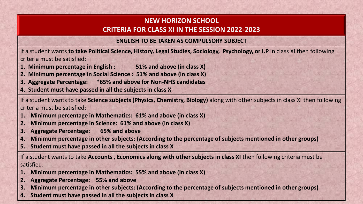#### **NEW HORIZON SCHOOL CRITERIA FOR CLASS XI IN THE SESSION 2022-2023**

#### **ENGLISH TO BE TAKEN AS COMPULSORY SUBJECT**

If a student wants **to take Political Science, History, Legal Studies, Sociology, Psychology, or I.P** in class XI then following criteria must be satisfied:

- **1. Minimum percentage in English : 51% and above (in class X)**
- **2. Minimum percentage in Social Science : 51% and above (in class X)**
- **3. Aggregate Percentage: \*65% and above for Non-NHS candidates**
- **4. Student must have passed in all the subjects in class X**

If a student wants to take **Science subjects (Physics, Chemistry, Biology)** along with other subjects in class XI then following criteria must be satisfied:

- **1. Minimum percentage in Mathematics: 61% and above (in class X)**
- **2. Minimum percentage in Science: 61% and above (in class X)**
- **3. Aggregate Percentage: 65% and above**
- **4. Minimum percentage in other subjects: (According to the percentage of subjects mentioned in other groups)**
- **5. Student must have passed in all the subjects in class X**

If a student wants to take **Accounts , Economics along with other subjects in class XI** then following criteria must be satisfied:

- **1. Minimum percentage in Mathematics: 55% and above (in class X)**
- **2. Aggregate Percentage: 55% and above**
- **3. Minimum percentage in other subjects: (According to the percentage of subjects mentioned in other groups)**
- **4. Student must have passed in all the subjects in class X**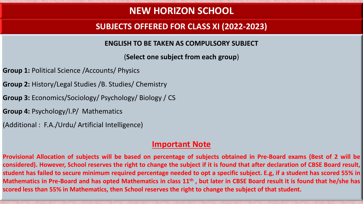# **NEW HORIZON SCHOOL**

## **SUBJECTS OFFERED FOR CLASS XI (2022-2023)**

**ENGLISH TO BE TAKEN AS COMPULSORY SUBJECT**

(**Select one subject from each group**)

- **Group 1:** Political Science /Accounts/ Physics
- **Group 2:** History/Legal Studies /B. Studies/ Chemistry
- **Group 3:** Economics/Sociology/ Psychology/ Biology / CS
- **Group 4:** Psychology/I.P/ Mathematics
- (Additional : F.A./Urdu/ Artificial Intelligence)

#### **Important Note**

Provisional Allocation of subjects will be based on percentage of subjects obtained in Pre-Board exams (Best of 2 will be considered). However, School reserves the right to change the subject if it is found that after declaration of CBSE Board result, student has failed to secure minimum required percentage needed to opt a specific subject. E.g, if a student has scored 55% in Mathematics in Pre-Board and has opted Mathematics in class 11<sup>th</sup>, but later in CBSE Board result it is found that he/she has scored less than 55% in Mathematics, then School reserves the right to change the subject of that student.